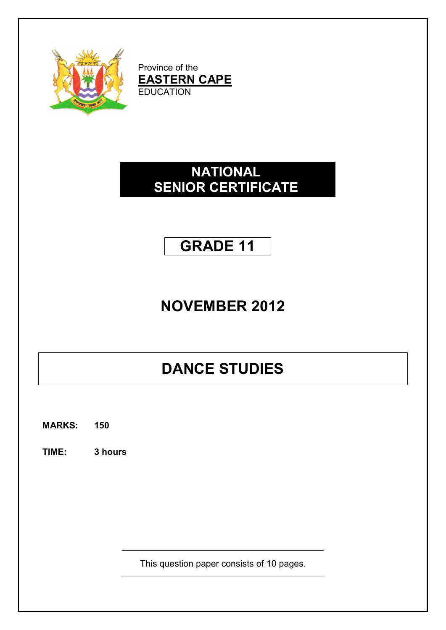

Province of the **EASTERN CAPE EDUCATION** 

## **NATIONAL SENIOR CERTIFICATE**

## **GRADE 11**

## **NOVEMBER 2012**

# **DANCE STUDIES**

**MARKS: 150**

**TIME: 3 hours**

This question paper consists of 10 pages.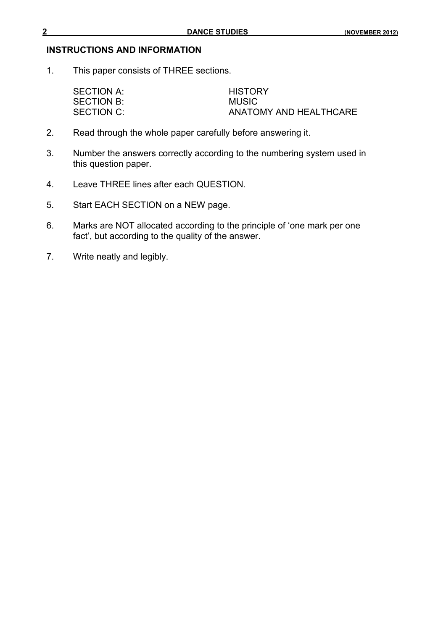#### **INSTRUCTIONS AND INFORMATION**

1. This paper consists of THREE sections.

SECTION A: HISTORY SECTION B: MUSIC ANATOMY AND HEALTHCARE

- 2. Read through the whole paper carefully before answering it.
- 3. Number the answers correctly according to the numbering system used in this question paper.
- 4. Leave THREE lines after each QUESTION.
- 5. Start EACH SECTION on a NEW page.
- 6. Marks are NOT allocated according to the principle of 'one mark per one fact', but according to the quality of the answer.
- 7. Write neatly and legibly.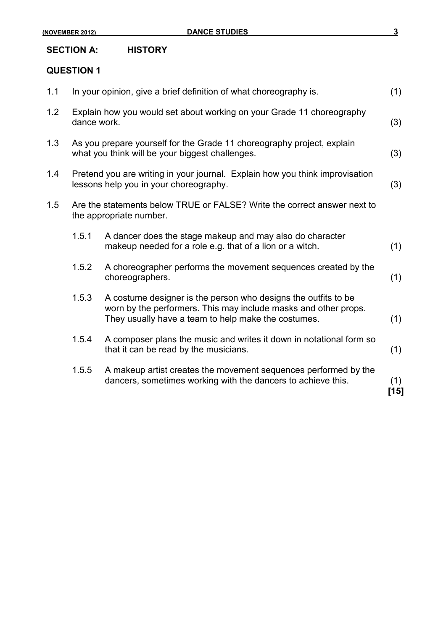**(NOVEMBER 2012) DANCE STUDIES 3**

### **SECTION A: HISTORY**

#### **QUESTION 1**

| 1.1 |                                                                                                                           | In your opinion, give a brief definition of what choreography is.                                                                                                                        |               |  |  |  |
|-----|---------------------------------------------------------------------------------------------------------------------------|------------------------------------------------------------------------------------------------------------------------------------------------------------------------------------------|---------------|--|--|--|
| 1.2 | Explain how you would set about working on your Grade 11 choreography<br>dance work.                                      |                                                                                                                                                                                          |               |  |  |  |
| 1.3 | As you prepare yourself for the Grade 11 choreography project, explain<br>what you think will be your biggest challenges. |                                                                                                                                                                                          |               |  |  |  |
| 1.4 | Pretend you are writing in your journal. Explain how you think improvisation<br>lessons help you in your choreography.    |                                                                                                                                                                                          |               |  |  |  |
| 1.5 |                                                                                                                           | Are the statements below TRUE or FALSE? Write the correct answer next to<br>the appropriate number.                                                                                      |               |  |  |  |
|     | 1.5.1                                                                                                                     | A dancer does the stage makeup and may also do character<br>makeup needed for a role e.g. that of a lion or a witch.                                                                     | (1)           |  |  |  |
|     | 1.5.2                                                                                                                     | A choreographer performs the movement sequences created by the<br>choreographers.                                                                                                        | (1)           |  |  |  |
|     | 1.5.3                                                                                                                     | A costume designer is the person who designs the outfits to be<br>worn by the performers. This may include masks and other props.<br>They usually have a team to help make the costumes. | (1)           |  |  |  |
|     | 1.5.4                                                                                                                     | A composer plans the music and writes it down in notational form so<br>that it can be read by the musicians.                                                                             | (1)           |  |  |  |
|     | 1.5.5                                                                                                                     | A makeup artist creates the movement sequences performed by the<br>dancers, sometimes working with the dancers to achieve this.                                                          | (1)<br>$[15]$ |  |  |  |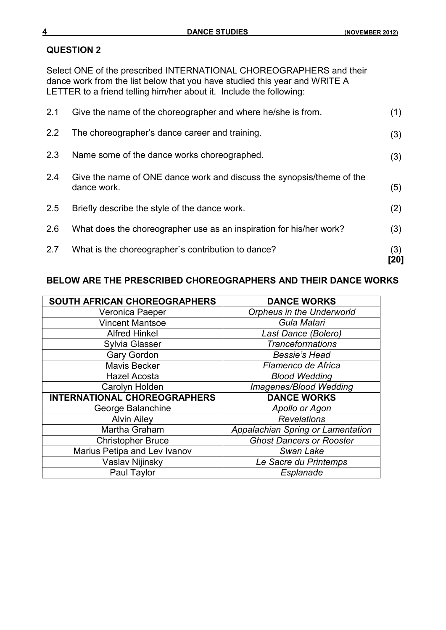Select ONE of the prescribed INTERNATIONAL CHOREOGRAPHERS and their dance work from the list below that you have studied this year and WRITE A LETTER to a friend telling him/her about it. Include the following:

| 2.7 | What is the choreographer's contribution to dance?                                   | (3)<br>[20] |
|-----|--------------------------------------------------------------------------------------|-------------|
| 2.6 | What does the choreographer use as an inspiration for his/her work?                  | (3)         |
| 2.5 | Briefly describe the style of the dance work.                                        | (2)         |
| 2.4 | Give the name of ONE dance work and discuss the synopsis/theme of the<br>dance work. | (5)         |
| 2.3 | Name some of the dance works choreographed.                                          | (3)         |
| 2.2 | The choreographer's dance career and training.                                       | (3)         |
| 2.1 | Give the name of the choreographer and where he/she is from.                         | (1)         |

#### **BELOW ARE THE PRESCRIBED CHOREOGRAPHERS AND THEIR DANCE WORKS**

| SOUTH AFRICAN CHOREOGRAPHERS        | <b>DANCE WORKS</b>                |
|-------------------------------------|-----------------------------------|
| Veronica Paeper                     | <b>Orpheus in the Underworld</b>  |
| <b>Vincent Mantsoe</b>              | Gula Matari                       |
| <b>Alfred Hinkel</b>                | Last Dance (Bolero)               |
| <b>Sylvia Glasser</b>               | <b>Tranceformations</b>           |
| <b>Gary Gordon</b>                  | <b>Bessie's Head</b>              |
| <b>Mavis Becker</b>                 | Flamenco de Africa                |
| <b>Hazel Acosta</b>                 | <b>Blood Wedding</b>              |
| Carolyn Holden                      | Imagenes/Blood Wedding            |
| <b>INTERNATIONAL CHOREOGRAPHERS</b> | <b>DANCE WORKS</b>                |
| George Balanchine                   | Apollo or Agon                    |
| <b>Alvin Ailey</b>                  | <b>Revelations</b>                |
| Martha Graham                       | Appalachian Spring or Lamentation |
| <b>Christopher Bruce</b>            | <b>Ghost Dancers or Rooster</b>   |
| Marius Petipa and Lev Ivanov        | Swan Lake                         |
| Vaslav Nijinsky                     | Le Sacre du Printemps             |
| Paul Taylor                         | Esplanade                         |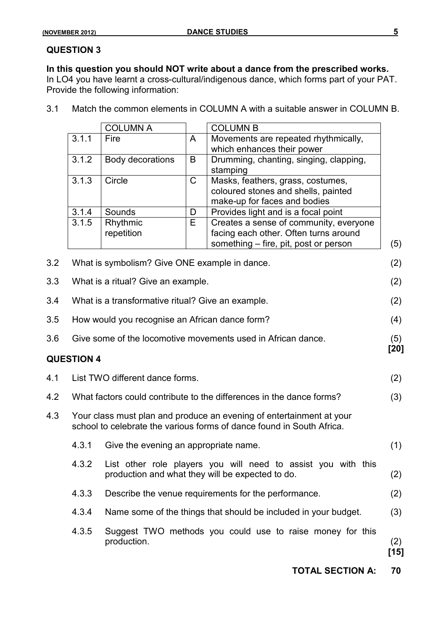**In this question you should NOT write about a dance from the prescribed works.** In LO4 you have learnt a cross-cultural/indigenous dance, which forms part of your PAT.

Provide the following information:

3.1 Match the common elements in COLUMN A with a suitable answer in COLUMN B.

|     |                                                                                                                                               | <b>COLUMN A</b>                                   |             | <b>COLUMN B</b>                                                                                                   |               |
|-----|-----------------------------------------------------------------------------------------------------------------------------------------------|---------------------------------------------------|-------------|-------------------------------------------------------------------------------------------------------------------|---------------|
|     | 3.1.1                                                                                                                                         | Fire                                              | A           | Movements are repeated rhythmically,                                                                              |               |
|     |                                                                                                                                               |                                                   |             | which enhances their power                                                                                        |               |
|     | 3.1.2                                                                                                                                         | Body decorations                                  | B           | Drumming, chanting, singing, clapping,                                                                            |               |
|     |                                                                                                                                               |                                                   |             | stamping                                                                                                          |               |
|     | 3.1.3                                                                                                                                         | Circle                                            | $\mathsf C$ | Masks, feathers, grass, costumes,                                                                                 |               |
|     |                                                                                                                                               |                                                   |             | coloured stones and shells, painted                                                                               |               |
|     |                                                                                                                                               |                                                   |             | make-up for faces and bodies                                                                                      |               |
|     | 3.1.4                                                                                                                                         | Sounds                                            | D           | Provides light and is a focal point                                                                               |               |
|     | 3.1.5                                                                                                                                         | Rhythmic                                          | Е           | Creates a sense of community, everyone                                                                            |               |
|     |                                                                                                                                               | repetition                                        |             | facing each other. Often turns around                                                                             |               |
|     |                                                                                                                                               |                                                   |             | something – fire, pit, post or person                                                                             | (5)           |
| 3.2 |                                                                                                                                               | What is symbolism? Give ONE example in dance.     |             |                                                                                                                   | (2)           |
| 3.3 |                                                                                                                                               | What is a ritual? Give an example.                |             |                                                                                                                   | (2)           |
| 3.4 |                                                                                                                                               | What is a transformative ritual? Give an example. |             |                                                                                                                   | (2)           |
| 3.5 | How would you recognise an African dance form?                                                                                                |                                                   |             |                                                                                                                   | (4)           |
| 3.6 | Give some of the locomotive movements used in African dance.<br>(5)                                                                           |                                                   |             |                                                                                                                   |               |
|     | <b>QUESTION 4</b>                                                                                                                             |                                                   |             |                                                                                                                   | [20]          |
| 4.1 |                                                                                                                                               | List TWO different dance forms.                   |             |                                                                                                                   | (2)           |
| 4.2 |                                                                                                                                               |                                                   |             | What factors could contribute to the differences in the dance forms?                                              | (3)           |
| 4.3 | Your class must plan and produce an evening of entertainment at your<br>school to celebrate the various forms of dance found in South Africa. |                                                   |             |                                                                                                                   |               |
|     | 4.3.1                                                                                                                                         | Give the evening an appropriate name.             |             |                                                                                                                   | (1)           |
|     | 4.3.2                                                                                                                                         |                                                   |             | List other role players you will need to assist you with this<br>production and what they will be expected to do. | (2)           |
|     | 4.3.3                                                                                                                                         |                                                   |             | Describe the venue requirements for the performance.                                                              | (2)           |
|     | 4.3.4                                                                                                                                         |                                                   |             | Name some of the things that should be included in your budget.                                                   | (3)           |
|     | 4.3.5                                                                                                                                         | production.                                       |             | Suggest TWO methods you could use to raise money for this                                                         | (2)<br>$[15]$ |
|     |                                                                                                                                               |                                                   |             | <b>TOTAL SECTION A:</b>                                                                                           | 70            |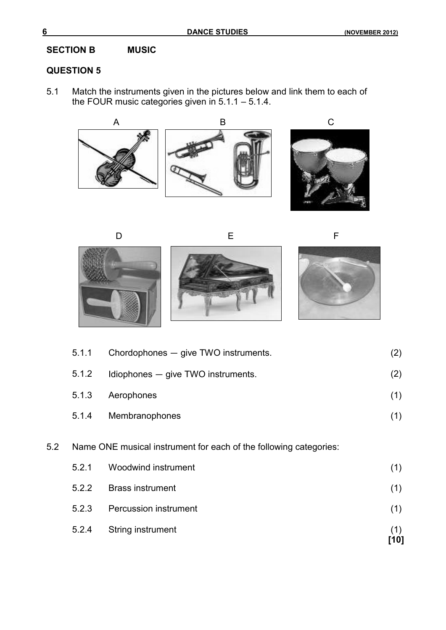## **SECTION B MUSIC**

## **QUESTION 5**

5.1 Match the instruments given in the pictures below and link them to each of the FOUR music categories given in 5.1.1 – 5.1.4.







|     | 5.2.4 | String instrument                                                 | (1)<br>[10] |
|-----|-------|-------------------------------------------------------------------|-------------|
|     | 5.2.3 | <b>Percussion instrument</b>                                      | (1)         |
|     | 5.2.2 | <b>Brass instrument</b>                                           | (1)         |
|     | 5.2.1 | Woodwind instrument                                               | (1)         |
| 5.2 |       | Name ONE musical instrument for each of the following categories: |             |
|     | 5.1.4 | Membranophones                                                    | (1)         |
|     | 5.1.3 | Aerophones                                                        | (1)         |
|     | 5.1.2 | Idiophones - give TWO instruments.                                | (2)         |
|     | 5.1.1 | Chordophones - give TWO instruments.                              | (2)         |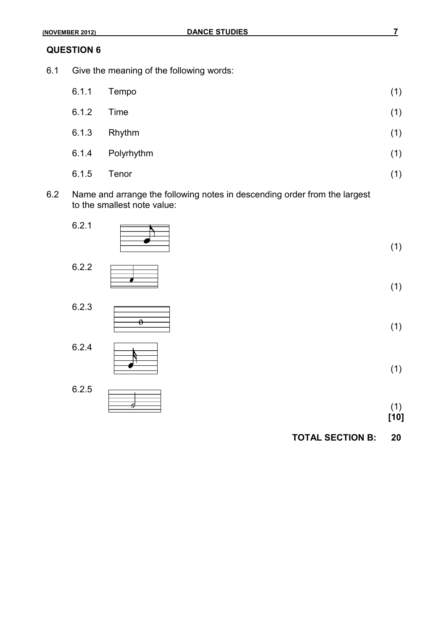6.1 Give the meaning of the following words:

| 6.1.1 | Tempo      | (1) |
|-------|------------|-----|
| 6.1.2 | Time       | (1) |
| 6.1.3 | Rhythm     | (1) |
| 6.1.4 | Polyrhythm | (1) |
| 6.1.5 | Tenor      | (1) |

6.2 Name and arrange the following notes in descending order from the largest to the smallest note value:



**[10]**

**TOTAL SECTION B: 20**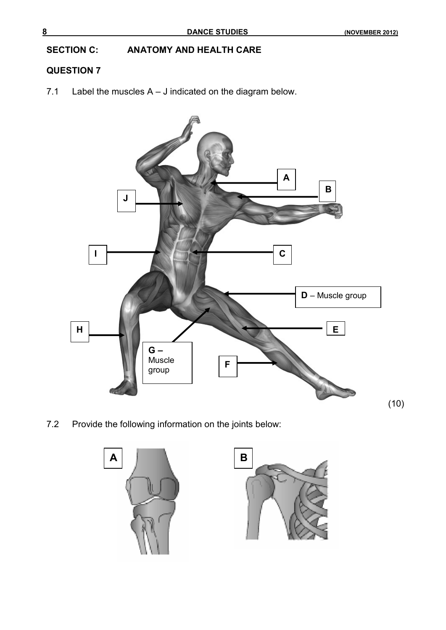**SECTION C: ANATOMY AND HEALTH CARE**

## **QUESTION 7**

7.1 Label the muscles A – J indicated on the diagram below.



7.2 Provide the following information on the joints below:



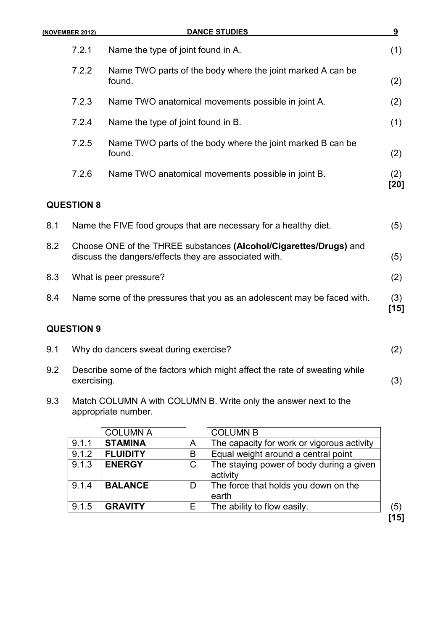|     | (NOVEMBER 2012)                                                                                                            | <b>DANCE STUDIES</b>                                                    | 9             |
|-----|----------------------------------------------------------------------------------------------------------------------------|-------------------------------------------------------------------------|---------------|
|     | 7.2.1                                                                                                                      | Name the type of joint found in A.                                      | (1)           |
|     | 7.2.2                                                                                                                      | Name TWO parts of the body where the joint marked A can be<br>found.    | (2)           |
|     | 7.2.3                                                                                                                      | Name TWO anatomical movements possible in joint A.                      | (2)           |
|     | 7.2.4                                                                                                                      | Name the type of joint found in B.                                      | (1)           |
|     | 7.2.5                                                                                                                      | Name TWO parts of the body where the joint marked B can be<br>found.    | (2)           |
|     | 7.2.6                                                                                                                      | Name TWO anatomical movements possible in joint B.                      | (2)<br>[20]   |
|     | <b>QUESTION 8</b>                                                                                                          |                                                                         |               |
| 8.1 |                                                                                                                            | Name the FIVE food groups that are necessary for a healthy diet.        | (5)           |
| 8.2 | Choose ONE of the THREE substances (Alcohol/Cigarettes/Drugs) and<br>discuss the dangers/effects they are associated with. |                                                                         | (5)           |
| 8.3 |                                                                                                                            | What is peer pressure?                                                  | (2)           |
| 8.4 |                                                                                                                            | Name some of the pressures that you as an adolescent may be faced with. | (3)<br>$[15]$ |
|     |                                                                                                                            |                                                                         |               |

| 9.1 | Why do dancers sweat during exercise? |  |
|-----|---------------------------------------|--|
|     |                                       |  |

- 9.2 Describe some of the factors which might affect the rate of sweating while exercising. (3)
- 9.3 Match COLUMN A with COLUMN B. Write only the answer next to the appropriate number.

|       | <b>COLUMN A</b> |   | <b>COLUMN B</b>                                      |      |
|-------|-----------------|---|------------------------------------------------------|------|
| 9.1.1 | <b>STAMINA</b>  | A | The capacity for work or vigorous activity           |      |
| 9.1.2 | <b>FLUIDITY</b> | B | Equal weight around a central point                  |      |
| 9.1.3 | <b>ENERGY</b>   | C | The staying power of body during a given<br>activity |      |
| 9.1.4 | <b>BALANCE</b>  | D | The force that holds you down on the<br>earth        |      |
| 9.1.5 | <b>GRAVITY</b>  | Е | The ability to flow easily.                          | (5)  |
|       |                 |   |                                                      | [15] |